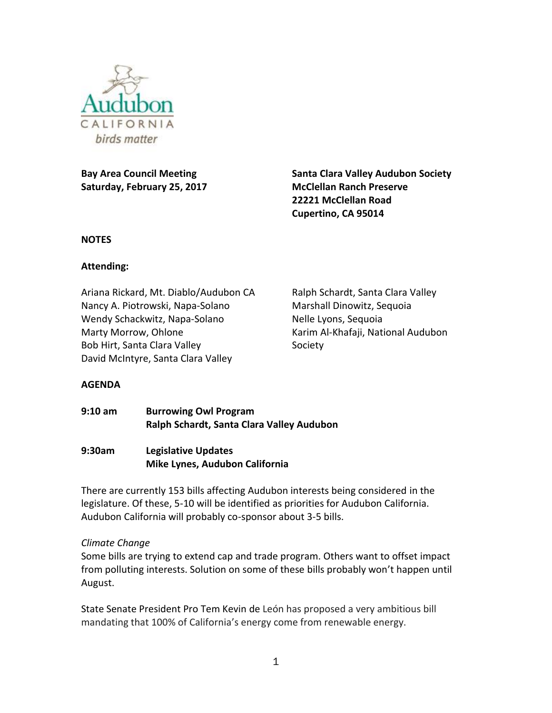

**Bay Area Council Meeting Saturday, February 25, 2017** **Santa Clara Valley Audubon Society McClellan Ranch Preserve 22221 McClellan Road Cupertino, CA 95014**

#### **NOTES**

### **Attending:**

Ariana Rickard, Mt. Diablo/Audubon CA Nancy A. Piotrowski, Napa-Solano Wendy Schackwitz, Napa-Solano Marty Morrow, Ohlone Bob Hirt, Santa Clara Valley David McIntyre, Santa Clara Valley

Ralph Schardt, Santa Clara Valley Marshall Dinowitz, Sequoia Nelle Lyons, Sequoia Karim Al-Khafaji, National Audubon Society

## **AGENDA**

**9:10 am Burrowing Owl Program Ralph Schardt, Santa Clara Valley Audubon**

**9:30am Legislative Updates Mike Lynes, Audubon California**

There are currently 153 bills affecting Audubon interests being considered in the legislature. Of these, 5-10 will be identified as priorities for Audubon California. Audubon California will probably co-sponsor about 3-5 bills.

#### *Climate Change*

Some bills are trying to extend cap and trade program. Others want to offset impact from polluting interests. Solution on some of these bills probably won't happen until August.

State Senate President Pro Tem Kevin de León has proposed a very ambitious bill mandating that 100% of California's energy come from renewable energy.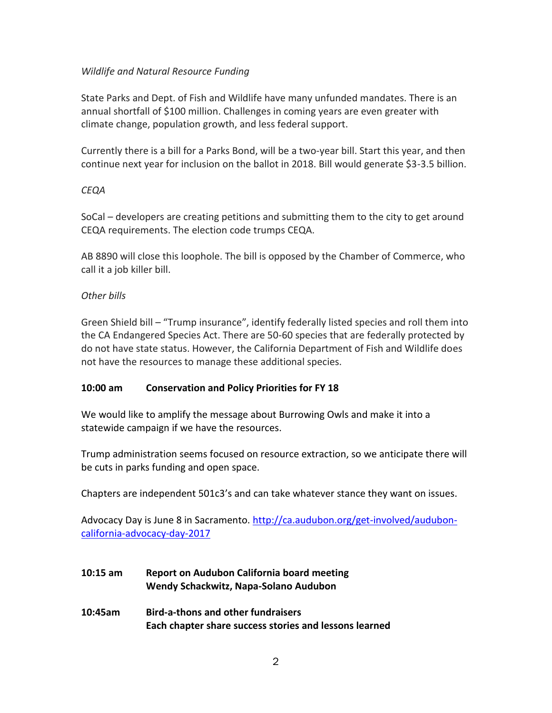### *Wildlife and Natural Resource Funding*

State Parks and Dept. of Fish and Wildlife have many unfunded mandates. There is an annual shortfall of \$100 million. Challenges in coming years are even greater with climate change, population growth, and less federal support.

Currently there is a bill for a Parks Bond, will be a two-year bill. Start this year, and then continue next year for inclusion on the ballot in 2018. Bill would generate \$3-3.5 billion.

### *CEQA*

SoCal – developers are creating petitions and submitting them to the city to get around CEQA requirements. The election code trumps CEQA.

AB 8890 will close this loophole. The bill is opposed by the Chamber of Commerce, who call it a job killer bill.

### *Other bills*

Green Shield bill – "Trump insurance", identify federally listed species and roll them into the CA Endangered Species Act. There are 50-60 species that are federally protected by do not have state status. However, the California Department of Fish and Wildlife does not have the resources to manage these additional species.

#### **10:00 am Conservation and Policy Priorities for FY 18**

We would like to amplify the message about Burrowing Owls and make it into a statewide campaign if we have the resources.

Trump administration seems focused on resource extraction, so we anticipate there will be cuts in parks funding and open space.

Chapters are independent 501c3's and can take whatever stance they want on issues.

Advocacy Day is June 8 in Sacramento. [http://ca.audubon.org/get-involved/audubon](http://ca.audubon.org/get-involved/audubon-california-advocacy-day-2017)[california-advocacy-day-2017](http://ca.audubon.org/get-involved/audubon-california-advocacy-day-2017)

- **10:15 am Report on Audubon California board meeting Wendy Schackwitz, Napa-Solano Audubon**
- **10:45am Bird-a-thons and other fundraisers Each chapter share success stories and lessons learned**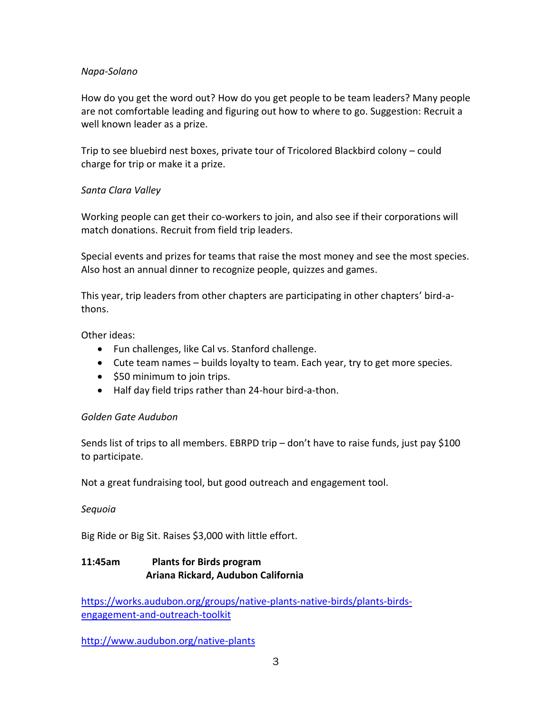### *Napa-Solano*

How do you get the word out? How do you get people to be team leaders? Many people are not comfortable leading and figuring out how to where to go. Suggestion: Recruit a well known leader as a prize.

Trip to see bluebird nest boxes, private tour of Tricolored Blackbird colony – could charge for trip or make it a prize.

## *Santa Clara Valley*

Working people can get their co-workers to join, and also see if their corporations will match donations. Recruit from field trip leaders.

Special events and prizes for teams that raise the most money and see the most species. Also host an annual dinner to recognize people, quizzes and games.

This year, trip leaders from other chapters are participating in other chapters' bird-athons.

Other ideas:

- Fun challenges, like Cal vs. Stanford challenge.
- Cute team names builds loyalty to team. Each year, try to get more species.
- \$50 minimum to join trips.
- Half day field trips rather than 24-hour bird-a-thon.

#### *Golden Gate Audubon*

Sends list of trips to all members. EBRPD trip – don't have to raise funds, just pay \$100 to participate.

Not a great fundraising tool, but good outreach and engagement tool.

#### *Sequoia*

Big Ride or Big Sit. Raises \$3,000 with little effort.

## **11:45am Plants for Birds program Ariana Rickard, Audubon California**

[https://works.audubon.org/groups/native-plants-native-birds/plants-birds](https://works.audubon.org/groups/native-plants-native-birds/plants-birds-engagement-and-outreach-toolkit)[engagement-and-outreach-toolkit](https://works.audubon.org/groups/native-plants-native-birds/plants-birds-engagement-and-outreach-toolkit)

<http://www.audubon.org/native-plants>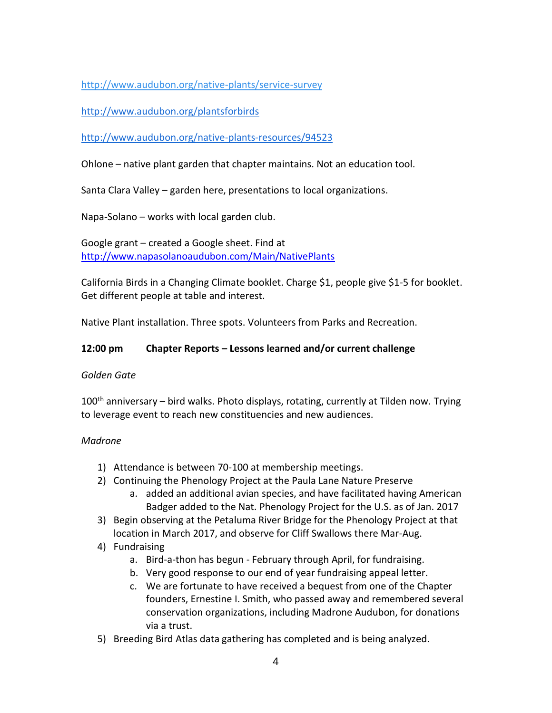<http://www.audubon.org/native-plants/service-survey>

<http://www.audubon.org/plantsforbirds>

<http://www.audubon.org/native-plants-resources/94523>

Ohlone – native plant garden that chapter maintains. Not an education tool.

Santa Clara Valley – garden here, presentations to local organizations.

Napa-Solano – works with local garden club.

Google grant – created a Google sheet. Find at <http://www.napasolanoaudubon.com/Main/NativePlants>

California Birds in a Changing Climate booklet. Charge \$1, people give \$1-5 for booklet. Get different people at table and interest.

Native Plant installation. Three spots. Volunteers from Parks and Recreation.

# **12:00 pm Chapter Reports – Lessons learned and/or current challenge**

## *Golden Gate*

100<sup>th</sup> anniversary – bird walks. Photo displays, rotating, currently at Tilden now. Trying to leverage event to reach new constituencies and new audiences.

## *Madrone*

- 1) Attendance is between 70-100 at membership meetings.
- 2) Continuing the Phenology Project at the Paula Lane Nature Preserve
	- a. added an additional avian species, and have facilitated having American Badger added to the Nat. Phenology Project for the U.S. as of Jan. 2017
- 3) Begin observing at the Petaluma River Bridge for the Phenology Project at that location in March 2017, and observe for Cliff Swallows there Mar-Aug.
- 4) Fundraising
	- a. Bird-a-thon has begun February through April, for fundraising.
	- b. Very good response to our end of year fundraising appeal letter.
	- c. We are fortunate to have received a bequest from one of the Chapter founders, Ernestine I. Smith, who passed away and remembered several conservation organizations, including Madrone Audubon, for donations via a trust.
- 5) Breeding Bird Atlas data gathering has completed and is being analyzed.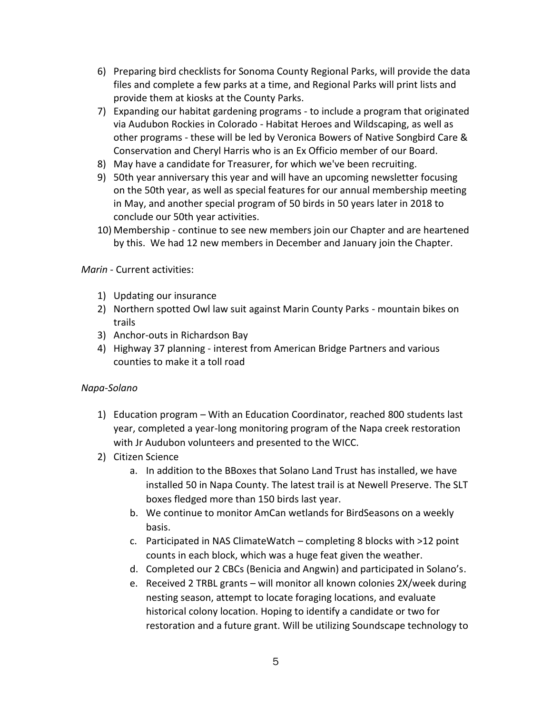- 6) Preparing bird checklists for Sonoma County Regional Parks, will provide the data files and complete a few parks at a time, and Regional Parks will print lists and provide them at kiosks at the County Parks.
- 7) Expanding our habitat gardening programs to include a program that originated via Audubon Rockies in Colorado - Habitat Heroes and Wildscaping, as well as other programs - these will be led by Veronica Bowers of Native Songbird Care & Conservation and Cheryl Harris who is an Ex Officio member of our Board.
- 8) May have a candidate for Treasurer, for which we've been recruiting.
- 9) 50th year anniversary this year and will have an upcoming newsletter focusing on the 50th year, as well as special features for our annual membership meeting in May, and another special program of 50 birds in 50 years later in 2018 to conclude our 50th year activities.
- 10) Membership continue to see new members join our Chapter and are heartened by this. We had 12 new members in December and January join the Chapter.

#### *Marin* - Current activities:

- 1) Updating our insurance
- 2) Northern spotted Owl law suit against Marin County Parks mountain bikes on trails
- 3) Anchor-outs in Richardson Bay
- 4) Highway 37 planning interest from American Bridge Partners and various counties to make it a toll road

#### *Napa-Solano*

- 1) Education program With an Education Coordinator, reached 800 students last year, completed a year-long monitoring program of the Napa creek restoration with Jr Audubon volunteers and presented to the WICC.
- 2) Citizen Science
	- a. In addition to the BBoxes that Solano Land Trust has installed, we have installed 50 in Napa County. The latest trail is at Newell Preserve. The SLT boxes fledged more than 150 birds last year.
	- b. We continue to monitor AmCan wetlands for BirdSeasons on a weekly basis.
	- c. Participated in NAS ClimateWatch completing 8 blocks with >12 point counts in each block, which was a huge feat given the weather.
	- d. Completed our 2 CBCs (Benicia and Angwin) and participated in Solano's.
	- e. Received 2 TRBL grants will monitor all known colonies 2X/week during nesting season, attempt to locate foraging locations, and evaluate historical colony location. Hoping to identify a candidate or two for restoration and a future grant. Will be utilizing Soundscape technology to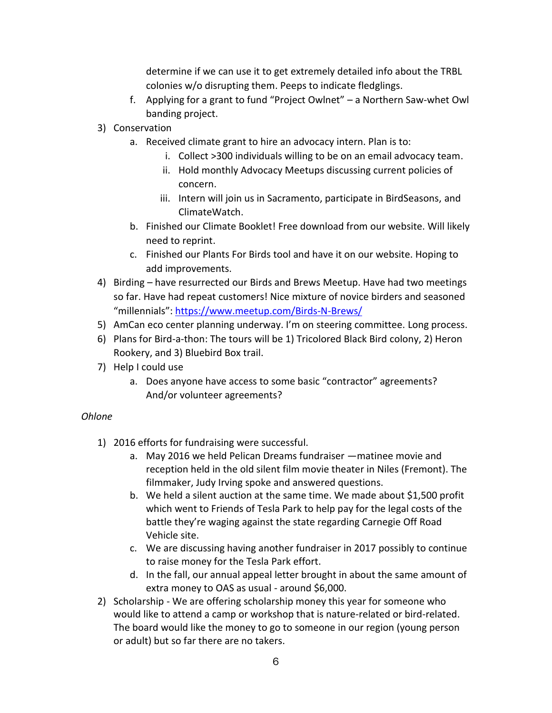determine if we can use it to get extremely detailed info about the TRBL colonies w/o disrupting them. Peeps to indicate fledglings.

- f. Applying for a grant to fund "Project Owlnet" a Northern Saw-whet Owl banding project.
- 3) Conservation
	- a. Received climate grant to hire an advocacy intern. Plan is to:
		- i. Collect >300 individuals willing to be on an email advocacy team.
		- ii. Hold monthly Advocacy Meetups discussing current policies of concern.
		- iii. Intern will join us in Sacramento, participate in BirdSeasons, and ClimateWatch.
	- b. Finished our Climate Booklet! Free download from our website. Will likely need to reprint.
	- c. Finished our Plants For Birds tool and have it on our website. Hoping to add improvements.
- 4) Birding have resurrected our Birds and Brews Meetup. Have had two meetings so far. Have had repeat customers! Nice mixture of novice birders and seasoned "millennials": <https://www.meetup.com/Birds-N-Brews/>
- 5) AmCan eco center planning underway. I'm on steering committee. Long process.
- 6) Plans for Bird-a-thon: The tours will be 1) Tricolored Black Bird colony, 2) Heron Rookery, and 3) Bluebird Box trail.
- 7) Help I could use
	- a. Does anyone have access to some basic "contractor" agreements? And/or volunteer agreements?

## *Ohlone*

- 1) 2016 efforts for fundraising were successful.
	- a. May 2016 we held Pelican Dreams fundraiser —matinee movie and reception held in the old silent film movie theater in Niles (Fremont). The filmmaker, Judy Irving spoke and answered questions.
	- b. We held a silent auction at the same time. We made about \$1,500 profit which went to Friends of Tesla Park to help pay for the legal costs of the battle they're waging against the state regarding Carnegie Off Road Vehicle site.
	- c. We are discussing having another fundraiser in 2017 possibly to continue to raise money for the Tesla Park effort.
	- d. In the fall, our annual appeal letter brought in about the same amount of extra money to OAS as usual - around \$6,000.
- 2) Scholarship We are offering scholarship money this year for someone who would like to attend a camp or workshop that is nature-related or bird-related. The board would like the money to go to someone in our region (young person or adult) but so far there are no takers.